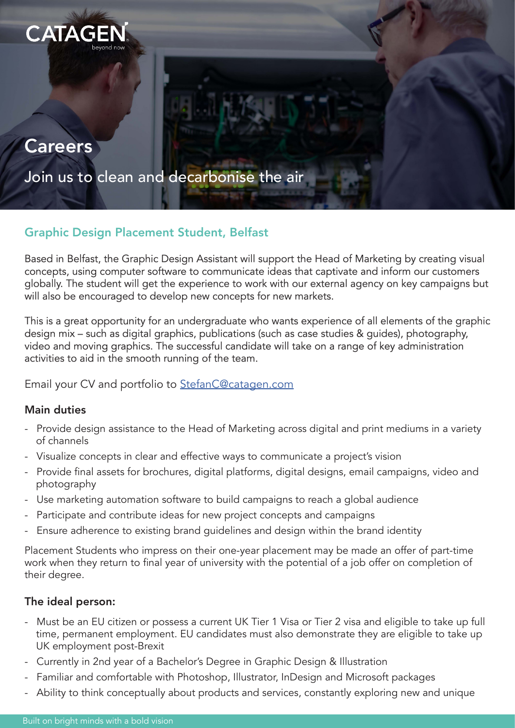

# **Careers**

Join us to clean and decarbonise the air

# Graphic Design Placement Student, Belfast

Based in Belfast, the Graphic Design Assistant will support the Head of Marketing by creating visual concepts, using computer software to communicate ideas that captivate and inform our customers globally. The student will get the experience to work with our external agency on key campaigns but will also be encouraged to develop new concepts for new markets.

This is a great opportunity for an undergraduate who wants experience of all elements of the graphic design mix – such as digital graphics, publications (such as case studies & guides), photography, video and moving graphics. The successful candidate will take on a range of key administration activities to aid in the smooth running of the team.

## Email your CV and portfolio to [StefanC@catagen.com](mailto:StefanC%40catagen.com?subject=Graphic%20Design%20placement%20student)

## Main duties

- Provide design assistance to the Head of Marketing across digital and print mediums in a variety of channels
- Visualize concepts in clear and effective ways to communicate a project's vision
- Provide final assets for brochures, digital platforms, digital designs, email campaigns, video and photography
- Use marketing automation software to build campaigns to reach a global audience
- Participate and contribute ideas for new project concepts and campaigns
- Ensure adherence to existing brand guidelines and design within the brand identity

Placement Students who impress on their one-year placement may be made an offer of part-time work when they return to final year of university with the potential of a job offer on completion of their degree.

# The ideal person:

- Must be an EU citizen or possess a current UK Tier 1 Visa or Tier 2 visa and eligible to take up full time, permanent employment. EU candidates must also demonstrate they are eligible to take up UK employment post-Brexit
- Currently in 2nd year of a Bachelor's Degree in Graphic Design & Illustration
- Familiar and comfortable with Photoshop, Illustrator, InDesign and Microsoft packages
- Ability to think conceptually about products and services, constantly exploring new and unique